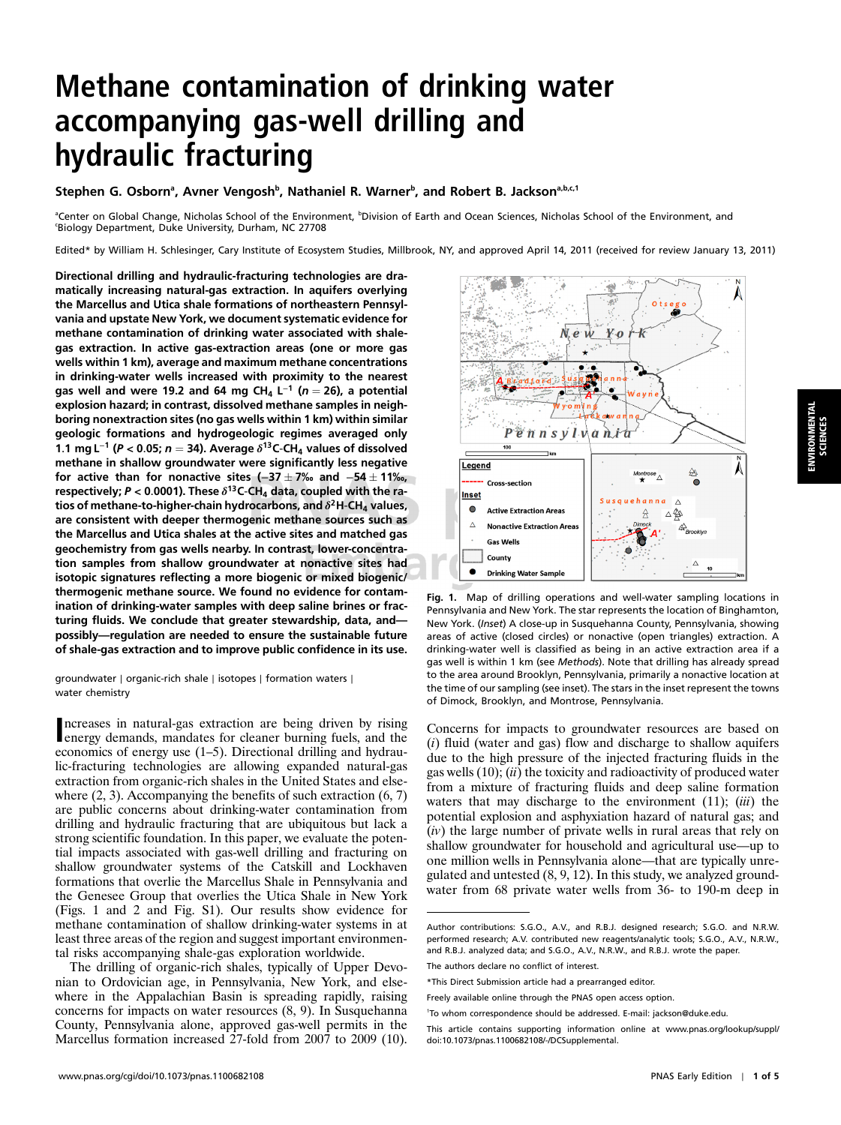## Methane contamination of drinking water accompanying gas-well drilling and hydraulic fracturing

Stephen G. Osborn<sup>a</sup>, Avner Vengosh<sup>b</sup>, Nathaniel R. Warner<sup>b</sup>, and Robert B. Jackson<sup>a,b.c.1</sup>

<sup>a</sup>Center on Global Change, Nicholas School of the Environment, <sup>b</sup>Division of Earth and Ocean Sciences, Nicholas School of the Environment, and Biology Department, Duke University, Durham, NC 27708

Edited\* by William H. Schlesinger, Cary Institute of Ecosystem Studies, Millbrook, NY, and approved April 14, 2011 (received for review January 13, 2011)

Directional drilling and hydraulic-fracturing technologies are dramatically increasing natural-gas extraction. In aquifers overlying the Marcellus and Utica shale formations of northeastern Pennsylvania and upstate New York, we document systematic evidence for methane contamination of drinking water associated with shalegas extraction. In active gas-extraction areas (one or more gas wells within 1 km), average and maximum methane concentrations in drinking-water wells increased with proximity to the nearest gas well and were 19.2 and 64 mg CH<sub>4</sub> L<sup>-1</sup> (n = 26), a potential explosion hazard; in contrast, dissolved methane samples in neighboring nonextraction sites (no gas wells within 1 km) within similar geologic formations and hydrogeologic regimes averaged only 1.1 mg L<sup>−1</sup> (P < 0.05; n = 34). Average  $\delta^{13}$ C-CH<sub>4</sub> values of dissolved methane in shallow groundwater were significantly less negative for active than for nonactive sites (−37  $\pm$  7‰ and −54  $\pm$  11‰, respectively; P < 0.0001). These  $\delta^{13}$ C-CH<sub>4</sub> data, coupled with the ratios of methane-to-higher-chain hydrocarbons, and  $\delta^2$ H-CH<sub>4</sub> values, are consistent with deeper thermogenic methane sources such as the Marcellus and Utica shales at the active sites and matched gas geochemistry from gas wells nearby. In contrast, lower-concentration samples from shallow groundwater at nonactive sites had isotopic signatures reflecting a more biogenic or mixed biogenic/ thermogenic methane source. We found no evidence for contamination of drinking-water samples with deep saline brines or fracturing fluids. We conclude that greater stewardship, data, and possibly—regulation are needed to ensure the sustainable future of shale-gas extraction and to improve public confidence in its use.

groundwater ∣ organic-rich shale ∣ isotopes ∣ formation waters ∣ water chemistry

ncreases in natural-gas extraction are being driven by rising<br>energy demands, mandates for cleaner burning fuels, and the ncreases in natural-gas extraction are being driven by rising economics of energy use (1–5). Directional drilling and hydraulic-fracturing technologies are allowing expanded natural-gas extraction from organic-rich shales in the United States and elsewhere  $(2, 3)$ . Accompanying the benefits of such extraction  $(6, 7)$ are public concerns about drinking-water contamination from drilling and hydraulic fracturing that are ubiquitous but lack a strong scientific foundation. In this paper, we evaluate the potential impacts associated with gas-well drilling and fracturing on shallow groundwater systems of the Catskill and Lockhaven formations that overlie the Marcellus Shale in Pennsylvania and the Genesee Group that overlies the Utica Shale in New York (Figs. 1 and 2 and Fig. S1). Our results show evidence for methane contamination of shallow drinking-water systems in at least three areas of the region and suggest important environmental risks accompanying shale-gas exploration worldwide.

The drilling of organic-rich shales, typically of Upper Devonian to Ordovician age, in Pennsylvania, New York, and elsewhere in the Appalachian Basin is spreading rapidly, raising concerns for impacts on water resources (8, 9). In Susquehanna County, Pennsylvania alone, approved gas-well permits in the Marcellus formation increased 27-fold from 2007 to 2009 (10).



Fig. 1. Map of drilling operations and well-water sampling locations in Pennsylvania and New York. The star represents the location of Binghamton, New York. (Inset) A close-up in Susquehanna County, Pennsylvania, showing areas of active (closed circles) or nonactive (open triangles) extraction. A drinking-water well is classified as being in an active extraction area if a gas well is within 1 km (see Methods). Note that drilling has already spread to the area around Brooklyn, Pennsylvania, primarily a nonactive location at the time of our sampling (see inset). The stars in the inset represent the towns of Dimock, Brooklyn, and Montrose, Pennsylvania.

Concerns for impacts to groundwater resources are based on  $(i)$  fluid (water and gas) flow and discharge to shallow aquifers due to the high pressure of the injected fracturing fluids in the gas wells  $(10)$ ;  $(ii)$  the toxicity and radioactivity of produced water from a mixture of fracturing fluids and deep saline formation waters that may discharge to the environment  $(11)$ ;  $(iii)$  the potential explosion and asphyxiation hazard of natural gas; and (iv) the large number of private wells in rural areas that rely on shallow groundwater for household and agricultural use—up to one million wells in Pennsylvania alone—that are typically unregulated and untested (8, 9, 12). In this study, we analyzed groundwater from 68 private water wells from 36- to 190-m deep in

Author contributions: S.G.O., A.V., and R.B.J. designed research; S.G.O. and N.R.W. performed research; A.V. contributed new reagents/analytic tools; S.G.O., A.V., N.R.W., and R.B.J. analyzed data; and S.G.O., A.V., N.R.W., and R.B.J. wrote the paper.

The authors declare no conflict of interest.

<sup>\*</sup>This Direct Submission article had a prearranged editor.

Freely available online through the PNAS open access option.

<sup>1</sup> To whom correspondence should be addressed. E-mail: jackson@duke.edu.

This article contains supporting information online at www.pnas.org/lookup/suppl/ doi:10.1073/pnas.1100682108/-/DCSupplemental.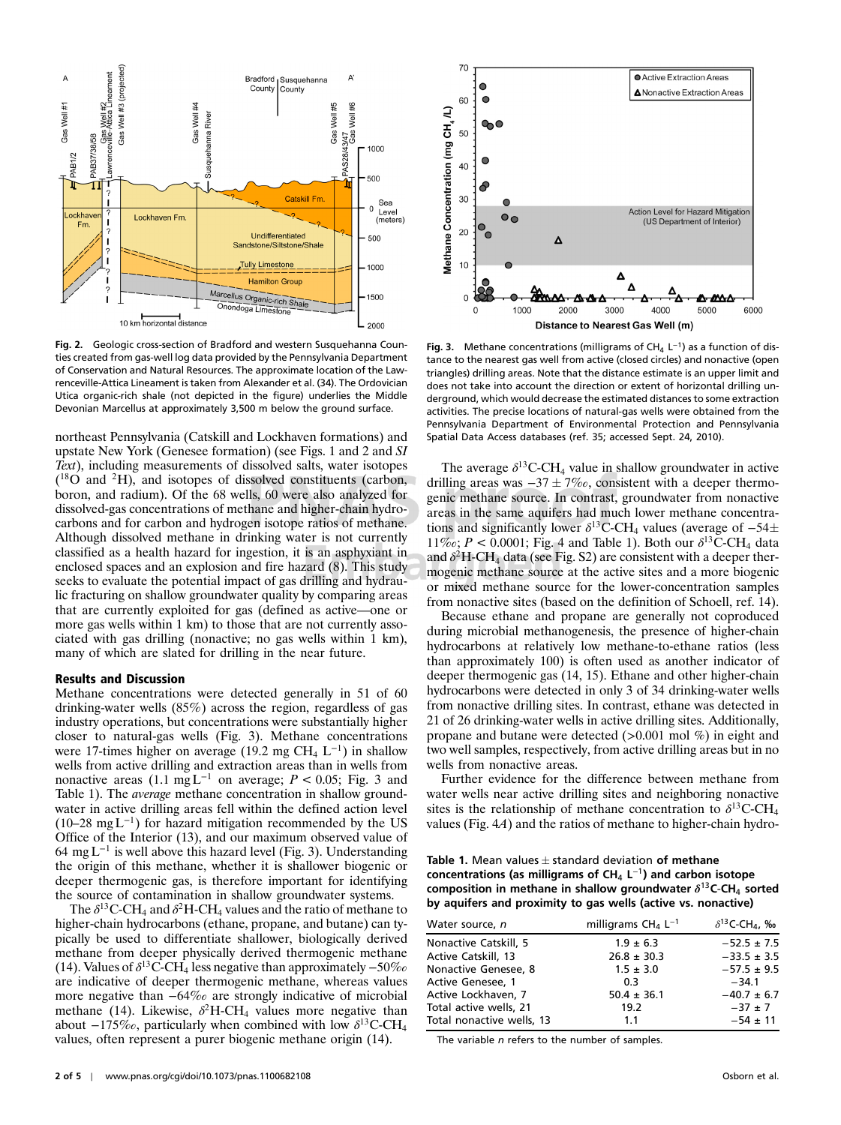

Fig. 2. Geologic cross-section of Bradford and western Susquehanna Counties created from gas-well log data provided by the Pennsylvania Department of Conservation and Natural Resources. The approximate location of the Lawrenceville-Attica Lineament is taken from Alexander et al. (34). The Ordovician Utica organic-rich shale (not depicted in the figure) underlies the Middle Devonian Marcellus at approximately 3,500 m below the ground surface.

northeast Pennsylvania (Catskill and Lockhaven formations) and upstate New York (Genesee formation) (see Figs. 1 and 2 and SI Text), including measurements of dissolved salts, water isotopes  $(^{18}O$  and <sup>2</sup>H), and isotopes of dissolved constituents (carbon, boron, and radium). Of the 68 wells, 60 were also analyzed for dissolved-gas concentrations of methane and higher-chain hydrocarbons and for carbon and hydrogen isotope ratios of methane. Although dissolved methane in drinking water is not currently classified as a health hazard for ingestion, it is an asphyxiant in enclosed spaces and an explosion and fire hazard (8). This study seeks to evaluate the potential impact of gas drilling and hydraulic fracturing on shallow groundwater quality by comparing areas that are currently exploited for gas (defined as active—one or more gas wells within 1 km) to those that are not currently associated with gas drilling (nonactive; no gas wells within 1 km), many of which are slated for drilling in the near future.

## Results and Discussion

Methane concentrations were detected generally in 51 of 60 drinking-water wells (85%) across the region, regardless of gas industry operations, but concentrations were substantially higher closer to natural-gas wells (Fig. 3). Methane concentrations were 17-times higher on average (19.2 mg CH<sub>4</sub> L<sup>-1</sup>) in shallow wells from active drilling and extraction areas than in wells from nonactive areas (1.1 mg L<sup>-1</sup> on average;  $P < 0.05$ ; Fig. 3 and Table 1). The average methane concentration in shallow groundwater in active drilling areas fell within the defined action level (10–28 mg  $L^{-1}$ ) for hazard mitigation recommended by the US Office of the Interior (13), and our maximum observed value of 64 mg L<sup>−</sup><sup>1</sup> is well above this hazard level (Fig. 3). Understanding the origin of this methane, whether it is shallower biogenic or deeper thermogenic gas, is therefore important for identifying the source of contamination in shallow groundwater systems.

The  $\delta^{13}$ C-CH<sub>4</sub> and  $\delta^2$ H-CH<sub>4</sub> values and the ratio of methane to higher-chain hydrocarbons (ethane, propane, and butane) can typically be used to differentiate shallower, biologically derived methane from deeper physically derived thermogenic methane (14). Values of  $\delta^{13}$ C-CH<sub>4</sub> less negative than approximately –50‰ are indicative of deeper thermogenic methane, whereas values more negative than −64‰ are strongly indicative of microbial methane (14). Likewise,  $\delta^2$ H-CH<sub>4</sub> values more negative than about  $-175\%$ , particularly when combined with low  $\delta^{13}$ C-CH<sub>4</sub> values, often represent a purer biogenic methane origin (14).



Fig. 3. Methane concentrations (milligrams of CH<sub>4</sub> L<sup>-1</sup>) as a function of distance to the nearest gas well from active (closed circles) and nonactive (open triangles) drilling areas. Note that the distance estimate is an upper limit and does not take into account the direction or extent of horizontal drilling underground, which would decrease the estimated distances to some extraction activities. The precise locations of natural-gas wells were obtained from the Pennsylvania Department of Environmental Protection and Pennsylvania Spatial Data Access databases (ref. 35; accessed Sept. 24, 2010).

The average  $\delta^{13}$ C-CH<sub>4</sub> value in shallow groundwater in active drilling areas was  $-37 \pm 7\%$ , consistent with a deeper thermogenic methane source. In contrast, groundwater from nonactive areas in the same aquifers had much lower methane concentrations and significantly lower  $\delta^{13}$ C-CH<sub>4</sub> values (average of -54 $\pm$  $11\%$ <sub>c</sub>;  $P < 0.0001$ ; Fig. 4 and Table 1). Both our  $\delta^{13}$ C-CH<sub>4</sub> data and  $\delta^2$ H-CH<sub>4</sub> data (see Fig. S2) are consistent with a deeper thermogenic methane source at the active sites and a more biogenic or mixed methane source for the lower-concentration samples from nonactive sites (based on the definition of Schoell, ref. 14).

Because ethane and propane are generally not coproduced during microbial methanogenesis, the presence of higher-chain hydrocarbons at relatively low methane-to-ethane ratios (less than approximately 100) is often used as another indicator of deeper thermogenic gas (14, 15). Ethane and other higher-chain hydrocarbons were detected in only 3 of 34 drinking-water wells from nonactive drilling sites. In contrast, ethane was detected in 21 of 26 drinking-water wells in active drilling sites. Additionally, propane and butane were detected (>0.001 mol %) in eight and two well samples, respectively, from active drilling areas but in no wells from nonactive areas.

Further evidence for the difference between methane from water wells near active drilling sites and neighboring nonactive sites is the relationship of methane concentration to  $\delta^{13}$ C-CH<sub>4</sub> values (Fig. 4A) and the ratios of methane to higher-chain hydro-

Table 1. Mean values  $\pm$  standard deviation of methane concentrations (as milligrams of  $CH<sub>4</sub>$  L<sup>-1</sup>) and carbon isotope composition in methane in shallow groundwater  $\delta^{13}$ C-CH<sub>4</sub> sorted

| by aquifers and proximity to gas wells (active vs. nonactive) |                      |                                     |  |  |  |  |  |
|---------------------------------------------------------------|----------------------|-------------------------------------|--|--|--|--|--|
| Water source, n                                               | milligrams $CH4 L-1$ | $\delta^{13}$ C-CH <sub>4</sub> , ‰ |  |  |  |  |  |
| Nonactive Catskill, 5                                         | $1.9 \pm 6.3$        | $-52.5 \pm 7.5$                     |  |  |  |  |  |
| Active Catskill, 13                                           | $26.8 \pm 30.3$      | $-33.5 \pm 3.5$                     |  |  |  |  |  |
| Nonactive Genesee, 8                                          | $1.5 \pm 3.0$        | $-57.5 \pm 9.5$                     |  |  |  |  |  |
| Active Genesee, 1                                             | 0.3                  | $-34.1$                             |  |  |  |  |  |
| Active Lockhaven, 7                                           | $50.4 \pm 36.1$      | $-40.7 \pm 6.7$                     |  |  |  |  |  |
| Total active wells, 21                                        | 19.2                 | $-37 \pm 7$                         |  |  |  |  |  |
| Total nonactive wells, 13                                     | 1.1                  | $-54 \pm 11$                        |  |  |  |  |  |
|                                                               |                      |                                     |  |  |  |  |  |

The variable  $n$  refers to the number of samples.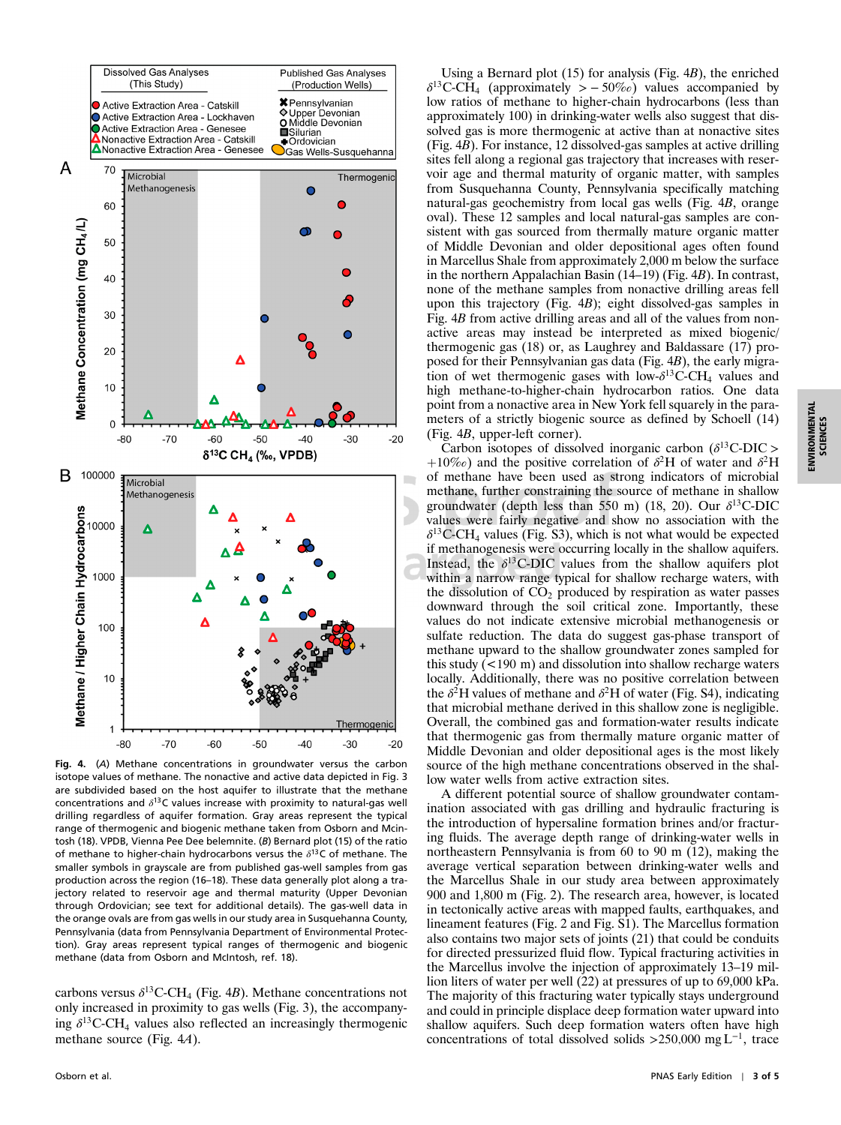

Fig. 4. (A) Methane concentrations in groundwater versus the carbon isotope values of methane. The nonactive and active data depicted in Fig. 3 are subdivided based on the host aquifer to illustrate that the methane concentrations and  $\delta^{13}$ C values increase with proximity to natural-gas well drilling regardless of aquifer formation. Gray areas represent the typical range of thermogenic and biogenic methane taken from Osborn and Mcintosh (18). VPDB, Vienna Pee Dee belemnite. (B) Bernard plot (15) of the ratio of methane to higher-chain hydrocarbons versus the  $\delta^{13}$ C of methane. The smaller symbols in grayscale are from published gas-well samples from gas production across the region (16–18). These data generally plot along a trajectory related to reservoir age and thermal maturity (Upper Devonian through Ordovician; see text for additional details). The gas-well data in the orange ovals are from gas wells in our study area in Susquehanna County, Pennsylvania (data from Pennsylvania Department of Environmental Protection). Gray areas represent typical ranges of thermogenic and biogenic methane (data from Osborn and McIntosh, ref. 18).

carbons versus  $\delta^{13}$ C-CH<sub>4</sub> (Fig. 4B). Methane concentrations not only increased in proximity to gas wells (Fig. 3), the accompanying  $\delta^{13}$ C-CH<sub>4</sub> values also reflected an increasingly thermogenic methane source (Fig. 4A).

Using a Bernard plot (15) for analysis (Fig. 4B), the enriched  $\delta^{13}$ C-CH<sub>4</sub> (approximately > – 50‰) values accompanied by low ratios of methane to higher-chain hydrocarbons (less than approximately 100) in drinking-water wells also suggest that dissolved gas is more thermogenic at active than at nonactive sites (Fig. 4B). For instance, 12 dissolved-gas samples at active drilling sites fell along a regional gas trajectory that increases with reservoir age and thermal maturity of organic matter, with samples from Susquehanna County, Pennsylvania specifically matching natural-gas geochemistry from local gas wells (Fig. 4B, orange oval). These 12 samples and local natural-gas samples are consistent with gas sourced from thermally mature organic matter of Middle Devonian and older depositional ages often found in Marcellus Shale from approximately 2,000 m below the surface in the northern Appalachian Basin (14–19) (Fig. 4B). In contrast, none of the methane samples from nonactive drilling areas fell upon this trajectory (Fig. 4B); eight dissolved-gas samples in Fig. 4B from active drilling areas and all of the values from nonactive areas may instead be interpreted as mixed biogenic/ thermogenic gas (18) or, as Laughrey and Baldassare (17) proposed for their Pennsylvanian gas data (Fig. 4B), the early migration of wet thermogenic gases with low- $\delta^{13}$ C-CH<sub>4</sub> values and high methane-to-higher-chain hydrocarbon ratios. One data point from a nonactive area in New York fell squarely in the parameters of a strictly biogenic source as defined by Schoell (14) (Fig. 4B, upper-left corner).

Carbon isotopes of dissolved inorganic carbon ( $\delta^{13}$ C-DIC > +10‰) and the positive correlation of  $\delta^2$ H of water and  $\delta^2$ H of methane have been used as strong indicators of microbial methane, further constraining the source of methane in shallow groundwater (depth less than 550 m) (18, 20). Our  $\delta^{13}$ C-DIC values were fairly negative and show no association with the  $\delta^{13}$ C-CH<sub>4</sub> values (Fig. S3), which is not what would be expected if methanogenesis were occurring locally in the shallow aquifers. Instead, the  $\delta^{13}$ C-DIC values from the shallow aquifers plot within a narrow range typical for shallow recharge waters, with the dissolution of  $CO<sub>2</sub>$  produced by respiration as water passes downward through the soil critical zone. Importantly, these values do not indicate extensive microbial methanogenesis or sulfate reduction. The data do suggest gas-phase transport of methane upward to the shallow groundwater zones sampled for this study (<190 m) and dissolution into shallow recharge waters locally. Additionally, there was no positive correlation between the  $\delta^2$ H values of methane and  $\delta^2$ H of water (Fig. S4), indicating that microbial methane derived in this shallow zone is negligible. Overall, the combined gas and formation-water results indicate that thermogenic gas from thermally mature organic matter of Middle Devonian and older depositional ages is the most likely source of the high methane concentrations observed in the shallow water wells from active extraction sites.

A different potential source of shallow groundwater contamination associated with gas drilling and hydraulic fracturing is the introduction of hypersaline formation brines and/or fracturing fluids. The average depth range of drinking-water wells in northeastern Pennsylvania is from 60 to 90 m (12), making the average vertical separation between drinking-water wells and the Marcellus Shale in our study area between approximately 900 and 1,800 m (Fig. 2). The research area, however, is located in tectonically active areas with mapped faults, earthquakes, and lineament features (Fig. 2 and Fig. S1). The Marcellus formation also contains two major sets of joints (21) that could be conduits for directed pressurized fluid flow. Typical fracturing activities in the Marcellus involve the injection of approximately 13–19 million liters of water per well (22) at pressures of up to 69,000 kPa. The majority of this fracturing water typically stays underground and could in principle displace deep formation water upward into shallow aquifers. Such deep formation waters often have high concentrations of total dissolved solids >250;000 mg L<sup>−</sup><sup>1</sup>, trace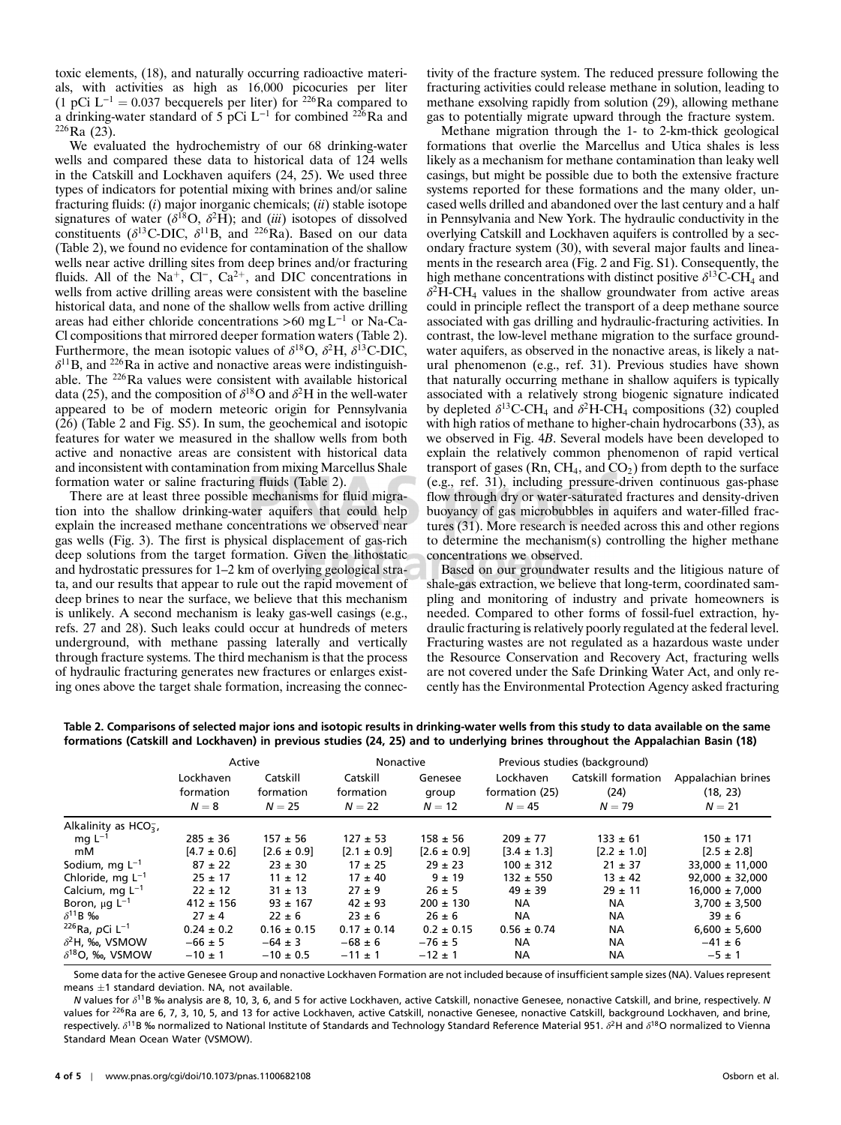toxic elements, (18), and naturally occurring radioactive materials, with activities as high as 16;000 picocuries per liter (1 pCi  $L^{-1} = 0.037$  becquerels per liter) for <sup>226</sup>Ra compared to a drinking-water standard of 5 pCi L<sup>-1</sup> for combined <sup>226</sup>Ra and <sup>226</sup>Ra (23).

We evaluated the hydrochemistry of our 68 drinking-water wells and compared these data to historical data of 124 wells in the Catskill and Lockhaven aquifers (24, 25). We used three types of indicators for potential mixing with brines and/or saline fracturing fluids:  $(i)$  major inorganic chemicals;  $(ii)$  stable isotope signatures of water ( $\delta^{18}O$ ,  $\delta^2H$ ); and (iii) isotopes of dissolved constituents ( $\delta^{13}$ C-DIC,  $\delta^{11}$ B, and <sup>226</sup>Ra). Based on our data (Table 2), we found no evidence for contamination of the shallow wells near active drilling sites from deep brines and/or fracturing fluids. All of the Na<sup>+</sup>, Cl<sup>−</sup>, Ca<sup>2+</sup>, and DIC concentrations in wells from active drilling areas were consistent with the baseline historical data, and none of the shallow wells from active drilling areas had either chloride concentrations >60 mg L<sup>−</sup><sup>1</sup> or Na-Ca-Cl compositions that mirrored deeper formation waters (Table 2). Furthermore, the mean isotopic values of  $\delta^{18}O$ ,  $\delta^2H$ ,  $\delta^{13}C\text{-DIC}$ ,  $\delta^{11}$ B, and <sup>226</sup>Ra in active and nonactive areas were indistinguishable. The <sup>226</sup>Ra values were consistent with available historical data (25), and the composition of  $\delta^{18}$ O and  $\delta^2$ H in the well-water appeared to be of modern meteoric origin for Pennsylvania (26) (Table 2 and Fig. S5). In sum, the geochemical and isotopic features for water we measured in the shallow wells from both active and nonactive areas are consistent with historical data and inconsistent with contamination from mixing Marcellus Shale formation water or saline fracturing fluids (Table 2).

There are at least three possible mechanisms for fluid migration into the shallow drinking-water aquifers that could help explain the increased methane concentrations we observed near gas wells (Fig. 3). The first is physical displacement of gas-rich deep solutions from the target formation. Given the lithostatic and hydrostatic pressures for 1–2 km of overlying geological strata, and our results that appear to rule out the rapid movement of deep brines to near the surface, we believe that this mechanism is unlikely. A second mechanism is leaky gas-well casings (e.g., refs. 27 and 28). Such leaks could occur at hundreds of meters underground, with methane passing laterally and vertically through fracture systems. The third mechanism is that the process of hydraulic fracturing generates new fractures or enlarges existing ones above the target shale formation, increasing the connectivity of the fracture system. The reduced pressure following the fracturing activities could release methane in solution, leading to methane exsolving rapidly from solution (29), allowing methane gas to potentially migrate upward through the fracture system.

Methane migration through the 1- to 2-km-thick geological formations that overlie the Marcellus and Utica shales is less likely as a mechanism for methane contamination than leaky well casings, but might be possible due to both the extensive fracture systems reported for these formations and the many older, uncased wells drilled and abandoned over the last century and a half in Pennsylvania and New York. The hydraulic conductivity in the overlying Catskill and Lockhaven aquifers is controlled by a secondary fracture system (30), with several major faults and lineaments in the research area (Fig. 2 and Fig. S1). Consequently, the high methane concentrations with distinct positive  $\delta^{13}$ C-CH<sub>4</sub> and  $\delta^2$ H-CH<sub>4</sub> values in the shallow groundwater from active areas could in principle reflect the transport of a deep methane source associated with gas drilling and hydraulic-fracturing activities. In contrast, the low-level methane migration to the surface groundwater aquifers, as observed in the nonactive areas, is likely a natural phenomenon (e.g., ref. 31). Previous studies have shown that naturally occurring methane in shallow aquifers is typically associated with a relatively strong biogenic signature indicated by depleted  $\delta^{13}$ C-CH<sub>4</sub> and  $\delta^2$ H-CH<sub>4</sub> compositions (32) coupled with high ratios of methane to higher-chain hydrocarbons (33), as we observed in Fig. 4B. Several models have been developed to explain the relatively common phenomenon of rapid vertical transport of gases (Rn,  $CH_4$ , and  $CO_2$ ) from depth to the surface (e.g., ref. 31), including pressure-driven continuous gas-phase flow through dry or water-saturated fractures and density-driven buoyancy of gas microbubbles in aquifers and water-filled fractures (31). More research is needed across this and other regions to determine the mechanism(s) controlling the higher methane concentrations we observed.

Based on our groundwater results and the litigious nature of shale-gas extraction, we believe that long-term, coordinated sampling and monitoring of industry and private homeowners is needed. Compared to other forms of fossil-fuel extraction, hydraulic fracturing is relatively poorly regulated at the federal level. Fracturing wastes are not regulated as a hazardous waste under the Resource Conservation and Recovery Act, fracturing wells are not covered under the Safe Drinking Water Act, and only recently has the Environmental Protection Agency asked fracturing

|                               | Active                          |                                   | Nonactive                         |                              | Previous studies (background)           |                                        |                                            |
|-------------------------------|---------------------------------|-----------------------------------|-----------------------------------|------------------------------|-----------------------------------------|----------------------------------------|--------------------------------------------|
|                               | Lockhaven<br>formation<br>$N=8$ | Catskill<br>formation<br>$N = 25$ | Catskill<br>formation<br>$N = 22$ | Genesee<br>group<br>$N = 12$ | Lockhaven<br>formation (25)<br>$N = 45$ | Catskill formation<br>(24)<br>$N = 79$ | Appalachian brines<br>(18, 23)<br>$N = 21$ |
| Alkalinity as $HCO_{3}^{-}$ , |                                 |                                   |                                   |                              |                                         |                                        |                                            |
| mg $L^{-1}$                   | $285 \pm 36$                    | $157 + 56$                        | $127 \pm 53$                      | $158 \pm 56$                 | $209 \pm 77$                            | $133 \pm 61$                           | $150 \pm 171$                              |
| mM                            | $[4.7 \pm 0.6]$                 | $[2.6 \pm 0.9]$                   | $[2.1 \pm 0.9]$                   | $[2.6 \pm 0.9]$              | $[3.4 \pm 1.3]$                         | $[2.2 \pm 1.0]$                        | $[2.5 \pm 2.8]$                            |
| Sodium, mg $L^{-1}$           | $87 \pm 22$                     | $23 \pm 30$                       | $17 \pm 25$                       | $29 \pm 23$                  | $100 \pm 312$                           | $21 \pm 37$                            | $33.000 \pm 11.000$                        |
| Chloride, mg $L^{-1}$         | $25 \pm 17$                     | $11 \pm 12$                       | $17 \pm 40$                       | $9 \pm 19$                   | $132 + 550$                             | $13 \pm 42$                            | $92.000 \pm 32.000$                        |
| Calcium, mg $L^{-1}$          | $22 \pm 12$                     | $31 \pm 13$                       | $27 \pm 9$                        | $26 \pm 5$                   | $49 \pm 39$                             | $29 \pm 11$                            | $16.000 \pm 7.000$                         |
| Boron, $\mu q L^{-1}$         | $412 \pm 156$                   | $93 \pm 167$                      | $42 \pm 93$                       | $200 \pm 130$                | <b>NA</b>                               | <b>NA</b>                              | $3,700 \pm 3,500$                          |
| $\delta^{11}$ B ‰             | $27 \pm 4$                      | $22 \pm 6$                        | $23 \pm 6$                        | $26 \pm 6$                   | <b>NA</b>                               | <b>NA</b>                              | $39 \pm 6$                                 |
| $226$ Ra, pCi L <sup>-1</sup> | $0.24 \pm 0.2$                  | $0.16 \pm 0.15$                   | $0.17 \pm 0.14$                   | $0.2 \pm 0.15$               | $0.56 \pm 0.74$                         | <b>NA</b>                              | $6,600 \pm 5,600$                          |
| $\delta^2$ H, ‰, VSMOW        | $-66 \pm 5$                     | $-64 \pm 3$                       | $-68 \pm 6$                       | $-76 \pm 5$                  | NA.                                     | NA.                                    | $-41 \pm 6$                                |
| $\delta^{18}$ O, ‰, VSMOW     | $-10 \pm 1$                     | $-10 \pm 0.5$                     | $-11 \pm 1$                       | $-12 \pm 1$                  | <b>NA</b>                               | <b>NA</b>                              | $-5 \pm 1$                                 |

Table 2. Comparisons of selected major ions and isotopic results in drinking-water wells from this study to data available on the same formations (Catskill and Lockhaven) in previous studies (24, 25) and to underlying brines throughout the Appalachian Basin (18)

Some data for the active Genesee Group and nonactive Lockhaven Formation are not included because of insufficient sample sizes (NA). Values represent means  $\pm 1$  standard deviation. NA, not available.

N values for δ<sup>11</sup>B ‰ analysis are 8, 10, 3, 6, and 5 for active Lockhaven, active Catskill, nonactive Genesee, nonactive Catskill, and brine, respectively. N values for <sup>226</sup>Ra are 6, 7, 3, 10, 5, and 13 for active Lockhaven, active Catskill, nonactive Genesee, nonactive Catskill, background Lockhaven, and brine, respectively. δ<sup>11</sup>B ‰ normalized to National Institute of Standards and Technology Standard Reference Material 951. δ<sup>2</sup>H and δ<sup>18</sup>O normalized to Vienna Standard Mean Ocean Water (VSMOW).